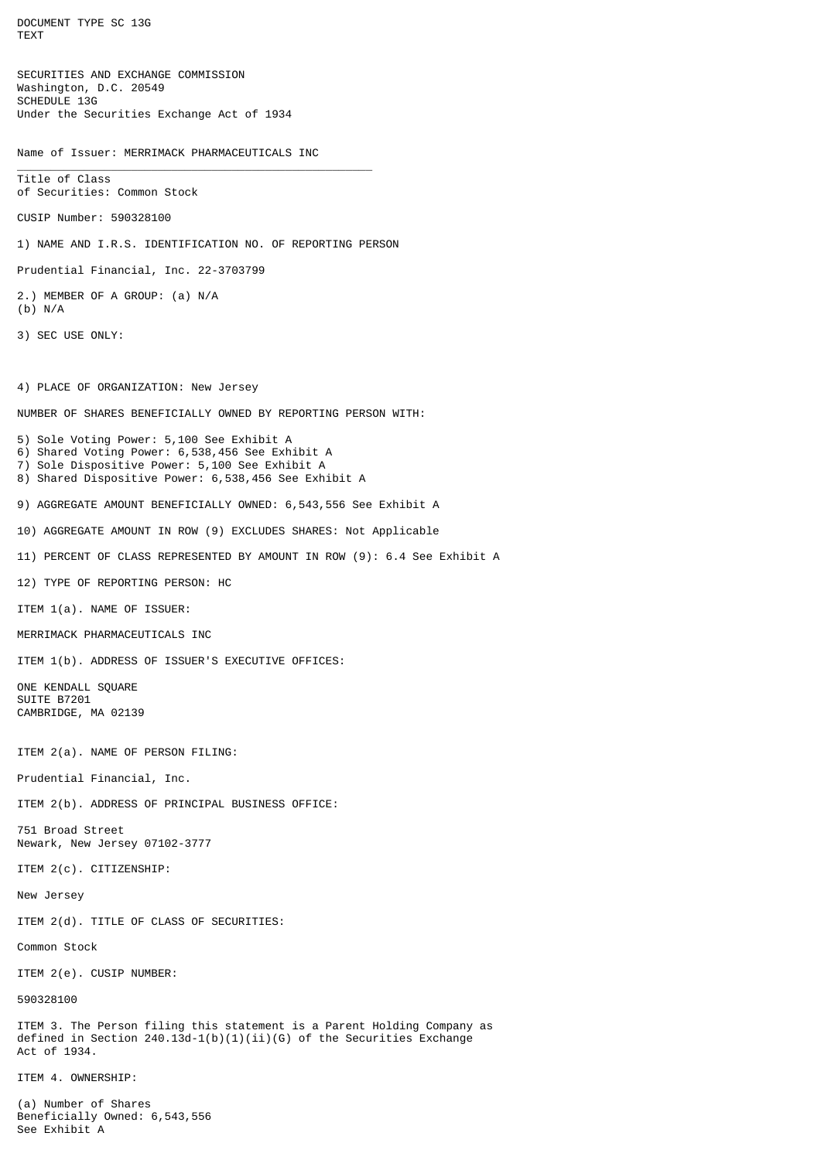DOCUMENT TYPE SC 13G TEXT SECURITIES AND EXCHANGE COMMISSION Washington, D.C. 20549 SCHEDULE 13G Under the Securities Exchange Act of 1934 Name of Issuer: MERRIMACK PHARMACEUTICALS INC \_\_\_\_\_\_\_\_\_\_\_\_\_\_\_\_\_\_\_\_\_\_\_\_\_\_\_\_\_\_\_\_\_\_\_\_\_\_\_\_\_\_\_\_\_\_\_\_\_\_\_\_\_ Title of Class of Securities: Common Stock CUSIP Number: 590328100 1) NAME AND I.R.S. IDENTIFICATION NO. OF REPORTING PERSON Prudential Financial, Inc. 22-3703799 2.) MEMBER OF A GROUP: (a) N/A (b) N/A 3) SEC USE ONLY: 4) PLACE OF ORGANIZATION: New Jersey NUMBER OF SHARES BENEFICIALLY OWNED BY REPORTING PERSON WITH: 5) Sole Voting Power: 5,100 See Exhibit A 6) Shared Voting Power: 6,538,456 See Exhibit A 7) Sole Dispositive Power: 5,100 See Exhibit A 8) Shared Dispositive Power: 6,538,456 See Exhibit A 9) AGGREGATE AMOUNT BENEFICIALLY OWNED: 6,543,556 See Exhibit A 10) AGGREGATE AMOUNT IN ROW (9) EXCLUDES SHARES: Not Applicable 11) PERCENT OF CLASS REPRESENTED BY AMOUNT IN ROW (9): 6.4 See Exhibit A 12) TYPE OF REPORTING PERSON: HC ITEM 1(a). NAME OF ISSUER: MERRIMACK PHARMACEUTICALS INC ITEM 1(b). ADDRESS OF ISSUER'S EXECUTIVE OFFICES: ONE KENDALL SQUARE SUITE B7201 CAMBRIDGE, MA 02139 ITEM 2(a). NAME OF PERSON FILING: Prudential Financial, Inc. ITEM 2(b). ADDRESS OF PRINCIPAL BUSINESS OFFICE: 751 Broad Street Newark, New Jersey 07102-3777 ITEM 2(c). CITIZENSHIP: New Jersey ITEM 2(d). TITLE OF CLASS OF SECURITIES: Common Stock ITEM 2(e). CUSIP NUMBER: 590328100 ITEM 3. The Person filing this statement is a Parent Holding Company as defined in Section 240.13d-1(b)(1)(ii)(G) of the Securities Exchange Act of 1934. ITEM 4. OWNERSHIP: (a) Number of Shares

Beneficially Owned: 6,543,556

See Exhibit A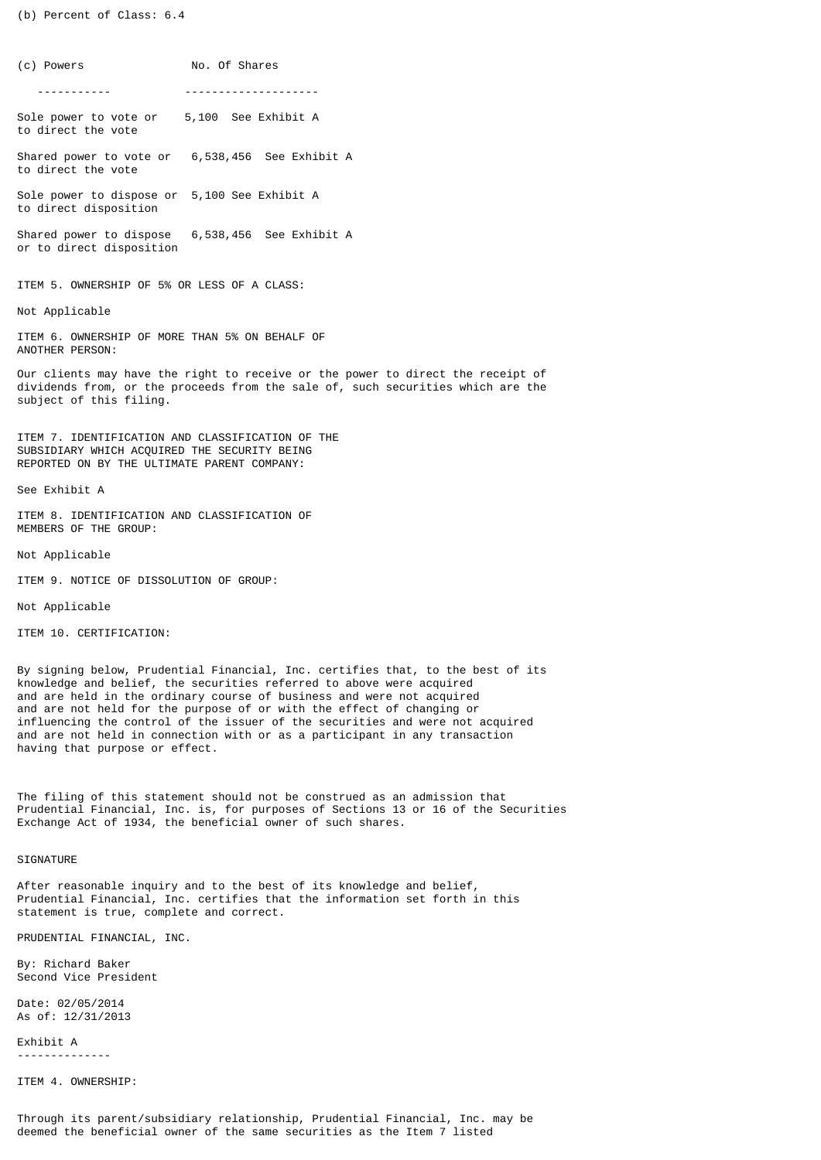(b) Percent of Class: 6.4

(c) Powers No. Of Shares ----------- --------------------

Sole power to vote or 5,100 See Exhibit A to direct the vote

Shared power to vote or 6,538,456 See Exhibit A to direct the vote

Sole power to dispose or 5,100 See Exhibit A to direct disposition

Shared power to dispose 6,538,456 See Exhibit A or to direct disposition

ITEM 5. OWNERSHIP OF 5% OR LESS OF A CLASS:

Not Applicable

ITEM 6. OWNERSHIP OF MORE THAN 5% ON BEHALF OF ANOTHER PERSON:

Our clients may have the right to receive or the power to direct the receipt of dividends from, or the proceeds from the sale of, such securities which are the subject of this filing.

ITEM 7. IDENTIFICATION AND CLASSIFICATION OF THE SUBSIDIARY WHICH ACQUIRED THE SECURITY BEING REPORTED ON BY THE ULTIMATE PARENT COMPANY:

See Exhibit A

ITEM 8. IDENTIFICATION AND CLASSIFICATION OF MEMBERS OF THE GROUP:

Not Applicable

ITEM 9. NOTICE OF DISSOLUTION OF GROUP:

Not Applicable

ITEM 10. CERTIFICATION:

By signing below, Prudential Financial, Inc. certifies that, to the best of its knowledge and belief, the securities referred to above were acquired and are held in the ordinary course of business and were not acquired and are not held for the purpose of or with the effect of changing or influencing the control of the issuer of the securities and were not acquired and are not held in connection with or as a participant in any transaction having that purpose or effect.

The filing of this statement should not be construed as an admission that Prudential Financial, Inc. is, for purposes of Sections 13 or 16 of the Securities Exchange Act of 1934, the beneficial owner of such shares.

**SIGNATURE** 

After reasonable inquiry and to the best of its knowledge and belief, Prudential Financial, Inc. certifies that the information set forth in this statement is true, complete and correct.

PRUDENTIAL FINANCIAL, INC.

By: Richard Baker Second Vice President

Date: 02/05/2014 As of: 12/31/2013

Exhibit A --------------

ITEM 4. OWNERSHIP: